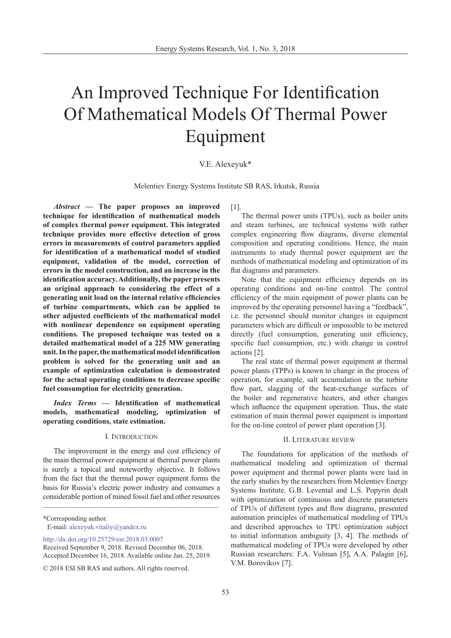# An Improved Technique For Identification Of Mathematical Models Of Thermal Power Equipment

# V.E. Alexeyuk\*

Melentiev Energy Systems Institute SB RAS, Irkutsk, Russia

*Abstract —* **The paper proposes an improved technique for identification of mathematical models of complex thermal power equipment. This integrated technique provides more effective detection of gross errors in measurements of control parameters applied for identification of a mathematical model of studied equipment, validation of the model, correction of errors in the model construction, and an increase in the identification accuracy. Additionally, the paper presents an original approach to considering the effect of a generating unit load on the internal relative efficiencies of turbine compartments, which can be applied to other adjusted coefficients of the mathematical model with nonlinear dependence on equipment operating conditions. The proposed technique was tested on a detailed mathematical model of a 225 MW generating unit. In the paper, the mathematical model identification problem is solved for the generating unit and an example of optimization calculation is demonstrated for the actual operating conditions to decrease specific fuel consumption for electricity generation.**

*Index Terms —* **Identification of mathematical models, mathematical modeling, optimization of operating conditions, state estimation.** 

## I. Introduction

The improvement in the energy and cost efficiency of the main thermal power equipment at thermal power plants is surely a topical and noteworthy objective. It follows from the fact that the thermal power equipment forms the basis for Russia's electric power industry and consumes a considerable portion of mined fossil fuel and other resources

\_\_\_\_\_\_\_\_\_\_\_\_\_\_\_\_\_\_\_\_\_\_\_\_\_\_\_\_\_\_\_\_\_\_\_\_\_\_\_\_\_\_\_\_\_\_\_\_\_\_\_

\*Corresponding author. E-mail: alexeyuk.vitaliy@yandex.ru

[http://dx.doi.org/10.25729/esr.2018.03.000](http://dx.doi.org/10.25729/esr.2018.01.0001)7

[1].

The thermal power units (TPUs), such as boiler units and steam turbines, are technical systems with rather complex engineering flow diagrams, diverse elemental composition and operating conditions. Hence, the main instruments to study thermal power equipment are the methods of mathematical modeling and optimization of its flat diagrams and parameters.

Note that the equipment efficiency depends on its operating conditions and on-line control. The control efficiency of the main equipment of power plants can be improved by the operating personnel having a "feedback", i.e. the personnel should monitor changes in equipment parameters which are difficult or impossible to be metered directly (fuel consumption, generating unit efficiency, specific fuel consumption, etc.) with change in control actions [2].

The real state of thermal power equipment at thermal power plants (TPPs) is known to change in the process of operation, for example, salt accumulation in the turbine flow part, slagging of the heat-exchange surfaces of the boiler and regenerative heaters, and other changes which influence the equipment operation. Thus, the state estimation of main thermal power equipment is important for the on-line control of power plant operation [3].

### II. Literature review

The foundations for application of the methods of mathematical modeling and optimization of thermal power equipment and thermal power plants were laid in the early studies by the researchers from Melentiev Energy Systems Institute. G.B. Levental and L.S. Popyrin dealt with optimization of continuous and discrete parameters of TPUs of different types and flow diagrams, presented automation principles of mathematical modeling of TPUs and described approaches to TPU optimization subject to initial information ambiguity [3, 4]. The methods of mathematical modeling of TPUs were developed by other Russian researchers: F.A. Vulman [5], A.A. Palagin [6], V.M. Borovikov [7].

Received September 9, 2018. Revised December 06, 2018. Accepted December 16, 2018. Available online Jan. 25, 2019.

<sup>© 2018</sup> ESI SB RAS and authors. All rights reserved.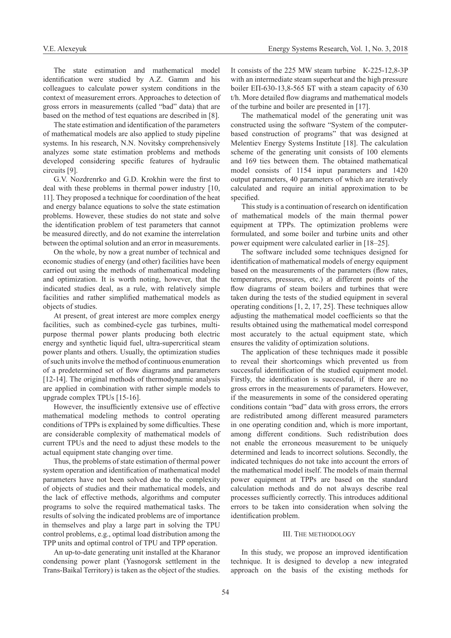The state estimation and mathematical model identification were studied by A.Z. Gamm and his colleagues to calculate power system conditions in the context of measurement errors. Approaches to detection of gross errors in measurements (called "bad" data) that are based on the method of test equations are described in [8].

The state estimation and identification of the parameters of mathematical models are also applied to study pipeline systems. In his research, N.N. Novitsky comprehensively analyzes some state estimation problems and methods developed considering specific features of hydraulic circuits [9].

G.V. Nozdrenrko and G.D. Krokhin were the first to deal with these problems in thermal power industry [10, 11]. They proposed a technique for coordination of the heat and energy balance equations to solve the state estimation problems. However, these studies do not state and solve the identification problem of test parameters that cannot be measured directly, and do not examine the interrelation between the optimal solution and an error in measurements.

On the whole, by now a great number of technical and economic studies of energy (and other) facilities have been carried out using the methods of mathematical modeling and optimization. It is worth noting, however, that the indicated studies deal, as a rule, with relatively simple facilities and rather simplified mathematical models as objects of studies.

At present, of great interest are more complex energy facilities, such as combined-cycle gas turbines, multipurpose thermal power plants producing both electric energy and synthetic liquid fuel, ultra-supercritical steam power plants and others. Usually, the optimization studies of such units involve the method of continuous enumeration of a predetermined set of flow diagrams and parameters [12-14]. The original methods of thermodynamic analysis are applied in combination with rather simple models to upgrade complex TPUs [15-16].

However, the insufficiently extensive use of effective mathematical modeling methods to control operating conditions of TPPs is explained by some difficulties. These are considerable complexity of mathematical models of current TPUs and the need to adjust these models to the actual equipment state changing over time.

Thus, the problems of state estimation of thermal power system operation and identification of mathematical model parameters have not been solved due to the complexity of objects of studies and their mathematical models, and the lack of effective methods, algorithms and computer programs to solve the required mathematical tasks. The results of solving the indicated problems are of importance in themselves and play a large part in solving the TPU control problems, e.g., optimal load distribution among the TPP units and optimal control of TPU and TPP operation.

An up-to-date generating unit installed at the Kharanor condensing power plant (Yasnogorsk settlement in the Trans-Baikal Territory) is taken as the object of the studies.

It consists of the 225 MW steam turbine К-225-12,8-3P with an intermediate steam superheat and the high pressure boiler EП-630-13,8-565 БТ with a steam capacity of 630 t/h. More detailed flow diagrams and mathematical models of the turbine and boiler are presented in [17].

The mathematical model of the generating unit was constructed using the software "System of the computerbased construction of programs" that was designed at Melentiev Energy Systems Institute [18]. The calculation scheme of the generating unit consists of 100 elements and 169 ties between them. The obtained mathematical model consists of 1154 input parameters and 1420 output parameters, 40 parameters of which are iteratively calculated and require an initial approximation to be specified.

This study is a continuation of research on identification of mathematical models of the main thermal power equipment at TPPs. The optimization problems were formulated, and some boiler and turbine units and other power equipment were calculated earlier in [18–25].

The software included some techniques designed for identification of mathematical models of energy equipment based on the measurements of the parameters (flow rates, temperatures, pressures, etc.) at different points of the flow diagrams of steam boilers and turbines that were taken during the tests of the studied equipment in several operating conditions [1, 2, 17, 25]. These techniques allow adjusting the mathematical model coefficients so that the results obtained using the mathematical model correspond most accurately to the actual equipment state, which ensures the validity of optimization solutions.

The application of these techniques made it possible to reveal their shortcomings which prevented us from successful identification of the studied equipment model. Firstly, the identification is successful, if there are no gross errors in the measurements of parameters. However, if the measurements in some of the considered operating conditions contain "bad" data with gross errors, the errors are redistributed among different measured parameters in one operating condition and, which is more important, among different conditions. Such redistribution does not enable the erroneous measurement to be uniquely determined and leads to incorrect solutions. Secondly, the indicated techniques do not take into account the errors of the mathematical model itself. The models of main thermal power equipment at TPPs are based on the standard calculation methods and do not always describe real processes sufficiently correctly. This introduces additional errors to be taken into consideration when solving the identification problem.

# III. The methodology

In this study, we propose an improved identification technique. It is designed to develop a new integrated approach on the basis of the existing methods for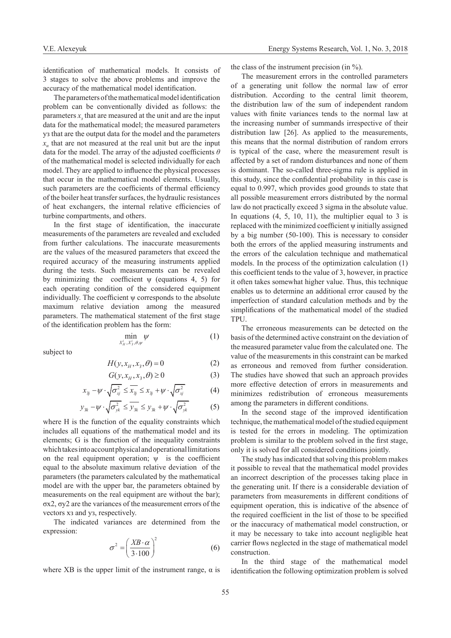identification of mathematical models. It consists of 3 stages to solve the above problems and improve the accuracy of the mathematical model identification.

The parameters of the mathematical model identification problem can be conventionally divided as follows: the parameters *x*<sub>2</sub> that are measured at the unit and are the input data for the mathematical model; the measured parameters уз that are the output data for the model and the parameters *хн* that are not measured at the real unit but are the input data for the model. The array of the adjusted coefficients *θ*  of the mathematical model is selected individually for each model. They are applied to influence the physical processes that occur in the mathematical model elements. Usually, such parameters are the coefficients of thermal efficiency of the boiler heat transfer surfaces, the hydraulic resistances of heat exchangers, the internal relative efficiencies of turbine compartments, and others.

In the first stage of identification, the inaccurate measurements of the parameters are revealed and excluded from further calculations. The inaccurate measurements are the values of the measured parameters that exceed the required accuracy of the measuring instruments applied during the tests. Such measurements can be revealed by minimizing the coefficient  $\psi$  (equations 4, 5) for each operating condition of the considered equipment individually. The coefficient  $\psi$  corresponds to the absolute maximum relative deviation among the measured parameters. The mathematical statement of the first stage of the identification problem has the form:

$$
\min_{X_H^i, X_3^i, \theta, \psi} \psi \tag{1}
$$

subject to

$$
H(y, x_H, x_3, \theta) = 0 \tag{2}
$$

$$
G(y, x_H, x_3, \theta) \ge 0 \tag{3}
$$

$$
x_{3j} - \psi \cdot \sqrt{\sigma_{xj}^2} \le \overline{x_{3j}} \le x_{3j} + \psi \cdot \sqrt{\sigma_{xj}^2} \tag{4}
$$

$$
y_{3k} - \psi \cdot \sqrt{\sigma_{yk}^2} \le y_{3k} \le y_{3k} + \psi \cdot \sqrt{\sigma_{yk}^2} \tag{5}
$$

where H is the function of the equality constraints which includes all equations of the mathematical model and its elements; G is the function of the inequality constraints which takes into account physical and operational limitations on the real equipment operation;  $\psi$  is the coefficient equal to the absolute maximum relative deviation of the parameters (the parameters calculated by the mathematical model are with the upper bar, the parameters obtained by measurements on the real equipment are without the bar); σx2, σy2 are the variances of the measurement errors of the vectors хз and уз, respectively.

The indicated variances are determined from the expression:

$$
\sigma^2 = \left(\frac{XB \cdot \alpha}{3.100}\right)^2 \tag{6}
$$

where XB is the upper limit of the instrument range,  $\alpha$  is

the class of the instrument precision (in %).

The measurement errors in the controlled parameters of a generating unit follow the normal law of error distribution. According to the central limit theorem, the distribution law of the sum of independent random values with finite variances tends to the normal law at the increasing number of summands irrespective of their distribution law [26]. As applied to the measurements, this means that the normal distribution of random errors is typical of the case, where the measurement result is affected by a set of random disturbances and none of them is dominant. The so-called three-sigma rule is applied in this study, since the confidential probability in this case is equal to 0.997, which provides good grounds to state that all possible measurement errors distributed by the normal law do not practically exceed 3 sigma in the absolute value. In equations  $(4, 5, 10, 11)$ , the multiplier equal to 3 is replaced with the minimized coefficient ψ initially assigned by a big number (50-100). This is necessary to consider both the errors of the applied measuring instruments and the errors of the calculation technique and mathematical models. In the process of the optimization calculation (1) this coefficient tends to the value of 3, however, in practice it often takes somewhat higher value. Thus, this technique enables us to determine an additional error caused by the imperfection of standard calculation methods and by the simplifications of the mathematical model of the studied TPU.

The erroneous measurements can be detected on the basis of the determined active constraint on the deviation of the measured parameter value from the calculated one. The value of the measurements in this constraint can be marked as erroneous and removed from further consideration. The studies have showed that such an approach provides more effective detection of errors in measurements and minimizes redistribution of erroneous measurements among the parameters in different conditions.

In the second stage of the improved identification technique, the mathematical model of the studied equipment is tested for the errors in modeling. The optimization problem is similar to the problem solved in the first stage, only it is solved for all considered conditions jointly.

The study has indicated that solving this problem makes it possible to reveal that the mathematical model provides an incorrect description of the processes taking place in the generating unit. If there is a considerable deviation of parameters from measurements in different conditions of equipment operation, this is indicative of the absence of the required coefficient in the list of those to be specified or the inaccuracy of mathematical model construction, or it may be necessary to take into account negligible heat carrier flows neglected in the stage of mathematical model construction.

In the third stage of the mathematical model identification the following optimization problem is solved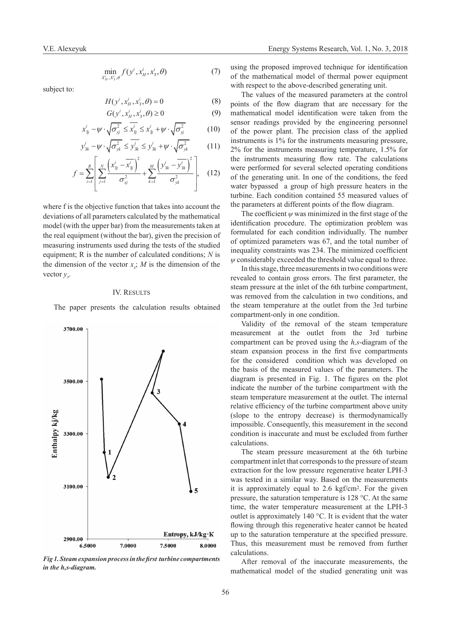$$
\min_{X_H^i, X_3^i, \theta} f(y^i, x_H^i, x_3^i, \theta) \tag{7}
$$

subject to:

$$
H(y^i, x^i_H, x^i_3, \theta) = 0 \tag{8}
$$

$$
G(y^i, x^i_H, x^i_3, \theta) \ge 0
$$
\n
$$
x^i_{3j} - \psi \cdot \sqrt{\sigma_{xj}^2} \le \overline{x^i_{3j}} \le x^i_{3j} + \psi \cdot \sqrt{\sigma_{xj}^2}
$$
\n(10)

$$
y_{3k}^{i} - \psi \cdot \sqrt{\sigma_{yk}^{2}} \le \overline{y_{3k}^{i}} \le y_{3k}^{i} + \psi \cdot \sqrt{\sigma_{yk}^{2}}
$$
 (11)

$$
f = \sum_{i=1}^{R} \left[ \sum_{j=1}^{N} \frac{\left(x_{3j}^{i} - \overline{x_{3j}^{i}}\right)^{2}}{\sigma_{xj}^{2}} + \sum_{k=1}^{M} \frac{\left(y_{3k}^{i} - \overline{y_{3k}^{i}}\right)^{2}}{\sigma_{yk}^{2}} \right], \quad (12)
$$

where f is the objective function that takes into account the deviations of all parameters calculated by the mathematical model (with the upper bar) from the measurements taken at the real equipment (without the bar), given the precision of measuring instruments used during the tests of the studied equipment; R is the number of calculated conditions; *N* is the dimension of the vector  $x$ ;  $M$  is the dimension of the vector *уз*.

## IV. Results

The paper presents the calculation results obtained



*Fig 1. Steam expansion process in the first turbine compartments in the h,s-diagram.*

using the proposed improved technique for identification of the mathematical model of thermal power equipment with respect to the above-described generating unit.

The values of the measured parameters at the control points of the flow diagram that are necessary for the mathematical model identification were taken from the sensor readings provided by the engineering personnel of the power plant. The precision class of the applied instruments is 1% for the instruments measuring pressure, 2% for the instruments measuring temperature, 1.5% for the instruments measuring flow rate. The calculations were performed for several selected operating conditions of the generating unit. In one of the conditions, the feed water bypassed a group of high pressure heaters in the turbine. Each condition contained 55 measured values of the parameters at different points of the flow diagram.

The coefficient  $\psi$  was minimized in the first stage of the identification procedure. The optimization problem was formulated for each condition individually. The number of optimized parameters was 67, and the total number of inequality constraints was 234. The minimized coefficient *ψ* considerably exceeded the threshold value equal to three.

In this stage, three measurements in two conditions were revealed to contain gross errors. The first parameter, the steam pressure at the inlet of the 6th turbine compartment, was removed from the calculation in two conditions, and the steam temperature at the outlet from the 3rd turbine compartment-only in one condition.

Validity of the removal of the steam temperature measurement at the outlet from the 3rd turbine compartment can be proved using the *h,s*-diagram of the steam expansion process in the first five compartments for the considered condition which was developed on the basis of the measured values of the parameters. The diagram is presented in Fig. 1. The figures on the plot indicate the number of the turbine compartment with the steam temperature measurement at the outlet. The internal relative efficiency of the turbine compartment above unity (slope to the entropy decrease) is thermodynamically impossible. Consequently, this measurement in the second condition is inaccurate and must be excluded from further calculations.

The steam pressure measurement at the 6th turbine compartment inlet that corresponds to the pressure of steam extraction for the low pressure regenerative heater LPH-3 was tested in a similar way. Based on the measurements it is approximately equal to 2.6 kgf/cm2. For the given pressure, the saturation temperature is 128 °С. At the same time, the water temperature measurement at the LPH-3 outlet is approximately 140 °С. It is evident that the water flowing through this regenerative heater cannot be heated up to the saturation temperature at the specified pressure. Thus, this measurement must be removed from further calculations.

After removal of the inaccurate measurements, the mathematical model of the studied generating unit was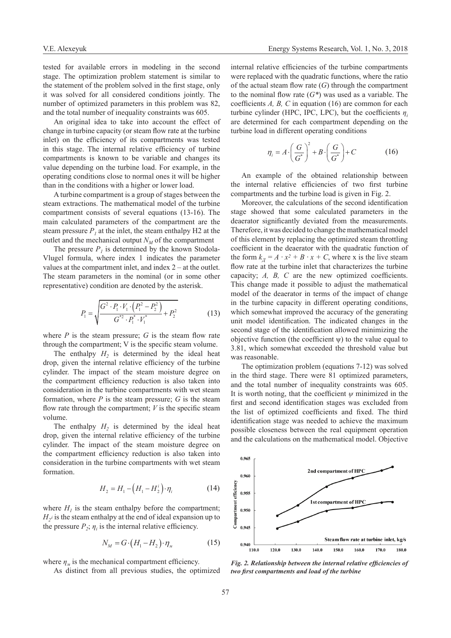tested for available errors in modeling in the second stage. The optimization problem statement is similar to the statement of the problem solved in the first stage, only it was solved for all considered conditions jointly. The number of optimized parameters in this problem was 82, and the total number of inequality constraints was 605.

An original idea to take into account the effect of change in turbine capacity (or steam flow rate at the turbine inlet) on the efficiency of its compartments was tested in this stage. The internal relative efficiency of turbine compartments is known to be variable and changes its value depending on the turbine load. For example, in the operating conditions close to normal ones it will be higher than in the conditions with a higher or lower load.

A turbine compartment is a group of stages between the steam extractions. The mathematical model of the turbine compartment consists of several equations (13-16). The main calculated parameters of the compartment are the steam pressure  $P<sub>l</sub>$  at the inlet, the steam enthalpy H2 at the outlet and the mechanical output  $N_M$  of the compartment

The pressure  $P<sub>l</sub>$  is determined by the known Stodola-Vlugel formula, where index 1 indicates the parameter values at the compartment inlet, and index 2 – at the outlet. The steam parameters in the nominal (or in some other representative) condition are denoted by the asterisk.

$$
P_1 = \sqrt{\frac{G^2 \cdot P_1 \cdot V_1 \cdot (P_1^2 - P_2^2)}{G^{*2} \cdot P_1^* \cdot V_1^*} + P_2^2}
$$
(13)

where  $P$  is the steam pressure;  $G$  is the steam flow rate through the compartment; V is the specific steam volume.

The enthalpy  $H_2$  is determined by the ideal heat drop, given the internal relative efficiency of the turbine cylinder. The impact of the steam moisture degree on the compartment efficiency reduction is also taken into consideration in the turbine compartments with wet steam formation, where *P* is the steam pressure; *G* is the steam flow rate through the compartment;  $V$  is the specific steam volume.

The enthalpy  $H_2$  is determined by the ideal heat drop, given the internal relative efficiency of the turbine cylinder. The impact of the steam moisture degree on the compartment efficiency reduction is also taken into consideration in the turbine compartments with wet steam formation.

$$
H_2 = H_1 - (H_1 - H_2^i) \cdot \eta_i \tag{14}
$$

where  $H_1$  is the steam enthalpy before the compartment;  $H_2$ *i* is the steam enthalpy at the end of ideal expansion up to the pressure  $P_2$ ;  $\eta_i$  is the internal relative efficiency.

$$
N_M = G \cdot \left( H_1 - H_2 \right) \cdot \eta_M \tag{15}
$$

where  $\eta_{\mu}$  is the mechanical compartment efficiency.

As distinct from all previous studies, the optimized

internal relative efficiencies of the turbine compartments were replaced with the quadratic functions, where the ratio of the actual steam flow rate (*G*) through the compartment to the nominal flow rate (*G\**) was used as a variable. The coefficients *A, B, C* in equation (16) are common for each turbine cylinder (HPC, IPC, LPC), but the coefficients  $\eta_i$ are determined for each compartment depending on the turbine load in different operating conditions

$$
\eta_i = A \cdot \left(\frac{G}{G^*}\right)^2 + B \cdot \left(\frac{G}{G^*}\right) + C \tag{16}
$$

An example of the obtained relationship between the internal relative efficiencies of two first turbine compartments and the turbine load is given in Fig. 2.

Moreover, the calculations of the second identification stage showed that some calculated parameters in the deaerator significantly deviated from the measurements. Therefore, it was decided to change the mathematical model of this element by replacing the optimized steam throttling coefficient in the deaerator with the quadratic function of the form  $k_{\text{I}} = A \cdot x^2 + B \cdot x + C$ , where x is the live steam flow rate at the turbine inlet that characterizes the turbine capacity; *A, B, C* are the new optimized coefficients. This change made it possible to adjust the mathematical model of the deaerator in terms of the impact of change in the turbine capacity in different operating conditions, which somewhat improved the accuracy of the generating unit model identification. The indicated changes in the second stage of the identification allowed minimizing the objective function (the coefficient  $\psi$ ) to the value equal to 3.81, which somewhat exceeded the threshold value but was reasonable.

The optimization problem (equations 7-12) was solved in the third stage. There were 81 optimized parameters, and the total number of inequality constraints was 605. It is worth noting, that the coefficient  $\psi$  minimized in the first and second identification stages was excluded from the list of optimized coefficients and fixed. The third identification stage was needed to achieve the maximum possible closeness between the real equipment operation and the calculations on the mathematical model. Objective



*Fig. 2. Relationship between the internal relative efficiencies of two first compartments and load of the turbine*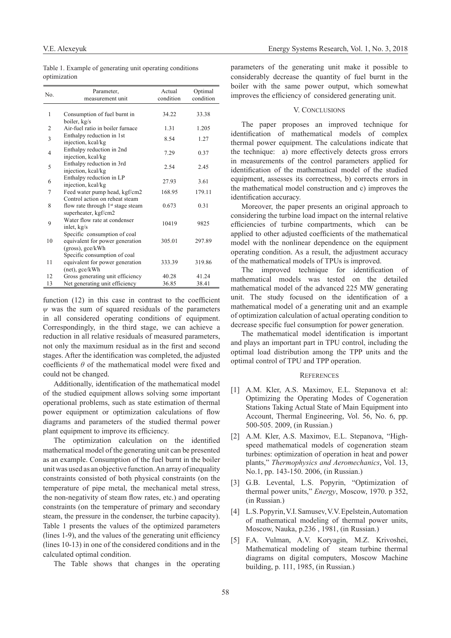|              |  |  | Table 1. Example of generating unit operating conditions |
|--------------|--|--|----------------------------------------------------------|
| optimization |  |  |                                                          |

| No.            | Parameter,<br>measurement unit                                                                | Actual<br>condition | Optimal<br>condition |
|----------------|-----------------------------------------------------------------------------------------------|---------------------|----------------------|
| 1              | Consumption of fuel burnt in<br>boiler, kg/s                                                  | 34.22               | 33.38                |
| $\overline{2}$ | Air-fuel ratio in boiler furnace                                                              | 1.31                | 1.205                |
| 3              | Enthalpy reduction in 1st<br>injection, kcal/kg                                               | 8.54                | 1.27                 |
| $\overline{4}$ | Enthalpy reduction in 2nd<br>injection, kcal/kg                                               | 7.29                | 0.37                 |
| 5              | Enthalpy reduction in 3rd<br>injection, kcal/kg                                               | 2.54                | 2.45                 |
| 6              | Enthalpy reduction in LP<br>injection, kcal/kg                                                | 27.93               | 3.61                 |
| 7              | Feed water pump head, kgf/cm2                                                                 | 168.95              | 179.11               |
| 8              | Control action on reheat steam<br>flow rate through $1st$ stage steam<br>superheater, kgf/cm2 | 0.673               | 0.31                 |
| 9              | Water flow rate at condenser<br>inlet, kg/s                                                   | 10419               | 9825                 |
| 10             | Specific consumption of coal<br>equivalent for power generation<br>$(gross)$ , gce/kWh        | 305.01              | 297.89               |
| 11             | Specific consumption of coal<br>equivalent for power generation<br>(net), gce/kWh             | 333.39              | 319.86               |
| 12             | Gross generating unit efficiency                                                              | 40.28               | 41.24                |
| 13             | Net generating unit efficiency                                                                | 36.85               | 38.41                |

function (12) in this case in contrast to the coefficient *ψ* was the sum of squared residuals of the parameters in all considered operating conditions of equipment. Correspondingly, in the third stage, we can achieve a reduction in all relative residuals of measured parameters, not only the maximum residual as in the first and second stages. After the identification was completed, the adjusted coefficients *θ* of the mathematical model were fixed and could not be changed.

Additionally, identification of the mathematical model of the studied equipment allows solving some important operational problems, such as state estimation of thermal power equipment or optimization calculations of flow diagrams and parameters of the studied thermal power plant equipment to improve its efficiency. TABLE I

The optimization calculation on the identified  $\frac{1}{2}$ mathematical model of the generating unit can be presented as an example. Consumption of the fuel burnt in the boiler unit was used as an objective function. An array of inequality constraints consisted of both physical constraints (on the temperature of pipe metal, the mechanical metal stress, the non-negativity of steam flow rates, etc.) and operating constraints (on the temperature of primary and secondary steam, the pressure in the condenser, the turbine capacity). Table 1 presents the values of the optimized parameters (lines 1-9), and the values of the generating unit efficiency (lines 10-13) in one of the considered conditions and in the calculated optimal condition.

The Table shows that changes in the operating

parameters of the generating unit make it possible to considerably decrease the quantity of fuel burnt in the boiler with the same power output, which somewhat improves the efficiency of considered generating unit.

#### V. CONCLUSIONS

The paper proposes an improved technique for identification of mathematical models of complex thermal power equipment. The calculations indicate that the technique: a) more effectively detects gross errors in measurements of the control parameters applied for identification of the mathematical model of the studied equipment, assesses its correctness, b) corrects errors in the mathematical model construction and c) improves the identification accuracy.

Moreover, the paper presents an original approach to considering the turbine load impact on the internal relative efficiencies of turbine compartments, which can be applied to other adjusted coefficients of the mathematical model with the nonlinear dependence on the equipment operating condition. As a result, the adjustment accuracy of the mathematical models of TPUs is improved.

The improved technique for identification of mathematical models was tested on the detailed mathematical model of the advanced 225 MW generating unit. The study focused on the identification of a mathematical model of a generating unit and an example of optimization calculation of actual operating condition to decrease specific fuel consumption for power generation.

The mathematical model identification is important and plays an important part in TPU control, including the optimal load distribution among the TPP units and the optimal control of TPU and TPP operation.

#### **REFERENCES**

- [1] A.M. Kler, A.S. Maximov, E.L. Stepanova et al: Optimizing the Operating Modes of Cogeneration Stations Taking Actual State of Main Equipment into Account, Thermal Engineering, Vol. 56, No. 6, pp. 500-505. 2009, (in Russian.)
- [2] A.M. Kler, A.S. Maximov, E.L. Stepanova, "Highspeed mathematical models of cogeneration steam turbines: optimization of operation in heat and power plants," *Thermophysics and Aeromechanics*, Vol. 13, No.1, pp. 143-150. 2006, (in Russian.)
- [3] G.B. Levental, L.S. Popyrin, "Optimization of thermal power units," *Energy*, Moscow, 1970. p 352, (in Russian.)
- [4] L.S. Popyrin, V.I. Samusev, V.V. Epelstein, Automation of mathematical modeling of thermal power units, Moscow, Nauka, p.236 , 1981, (in Russian.)
- [5] F.A. Vulman, A.V. Koryagin, M.Z. Krivoshei, Mathematical modeling of steam turbine thermal diagrams on digital computers, Moscow Machine building, p. 111, 1985, (in Russian.)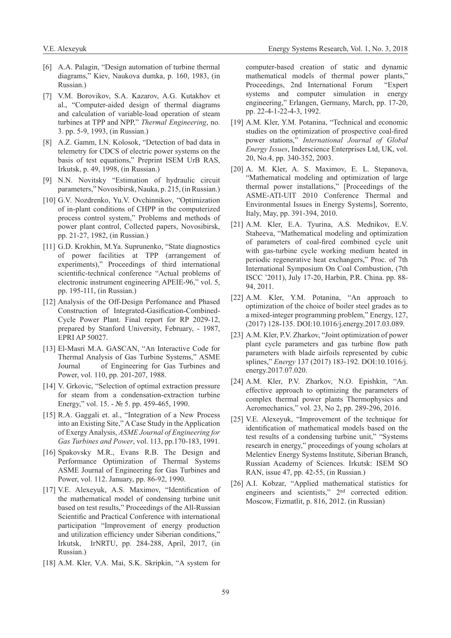- [6] A.A. Palagin, "Design automation of turbine thermal diagrams," Kiev, Naukova dumka, p. 160, 1983, (in Russian.)
- [7] V.M. Borovikov, S.A. Kazarov, A.G. Kutakhov et al., "Computer-aided design of thermal diagrams and calculation of variable-load operation of steam turbines at TPP and NPP," *Thermal Engineering*, no. 3. pp. 5-9, 1993, (in Russian.)
- [8] A.Z. Gamm, I.N. Kolosok, "Detection of bad data in telemetry for CDCS of electric power systems on the basis of test equations," Preprint ISEM UrB RAS, Irkutsk, p. 49, 1998, (in Russian.)
- [9] N.N. Novitsky "Estimation of hydraulic circuit parameters," Novosibirsk, Nauka, p. 215, (in Russian.)
- [10] G.V. Nozdrenko, Yu.V. Ovchinnikov, "Optimization of in-plant conditions of CHPP in the computerized process control system," Problems and methods of power plant control, Collected papers, Novosibirsk, pp. 21-27, 1982, (in Russian.)
- [11] G.D. Krokhin, M.Ya. Suprunenko, "State diagnostics of power facilities at TPP (arrangement of experiments)," Proceedings of third international scientific-technical conference "Actual problems of electronic instrument engineering APEIE-96," vol. 5, pp. 195-111, (in Russian.)
- [12] Analysis of the Off-Design Perfomance and Phased Construction of Integrated-Gasification-Combined-Cycle Power Plant. Final report for RP 2029-12, prepared by Stanford University, February, - 1987, EPRI AP 50027.
- [13] El-Masri M.A. GASCAN, "An Interactive Code for Thermal Analysis of Gas Turbine Systems," ASME Journal of Engineering for Gas Turbines and Power, vol. 110, pp. 201-207, 1988.
- [14] V. Grkovic, "Selection of optimal extraction pressure for steam from a condensation-extraction turbine Energy," vol. 15. - № 5. pp. 459-465, 1990.
- [15] R.A. Gaggali et. al., "Integration of a New Process into an Existing Site," A Case Study in the Application of Exergy Analysis, *ASME Journal of Engineering for Gas Turbines and Power*, vol. 113, pp.170-183, 1991.
- [16] Spakovsky M.R., Evans R.B. The Design and Performance Optimization of Thermal Systems ASME Journal of Engineering for Gas Turbines and Power, vol. 112. January, pp. 86-92, 1990.
- [17] V.E. Alexeyuk, A.S. Maximov, "Identification of the mathematical model of condensing turbine unit based on test results," Proceedings of the All-Russian Scientific and Practical Conference with international participation "Improvement of energy production and utilization efficiency under Siberian conditions," Irkutsk, IrNRTU, pp. 284-288, April, 2017, (in Russian.)
- [18] A.M. Kler, V.A. Mai, S.K. Skripkin, "A system for

computer-based creation of static and dynamic mathematical models of thermal power plants," Proceedings, 2nd International Forum "Expert systems and computer simulation in energy engineering," Erlangen, Germany, March, pp. 17-20, pp. 22-4-1-22-4-3, 1992.

- [19] A.M. Kler, Y.M. Potanina, "Technical and economic studies on the optimization of prospective coal-fired power stations," *International Journal of Global Energy Issues*, Inderscience Enterprises Ltd, UK, vol. 20, No.4, pp. 340-352, 2003.
- [20] A. M. Kler, A. S. Maximov, E. L. Stepanova, "Mathematical modeling and optimization of large thermal power installations," [Proceedings of the ASME-ATI-UIT 2010 Conference Thermal and Environmental Issues in Energy Systems], Sorrento, Italy, May, pp. 391-394, 2010.
- [21] A.M. Kler, E.A. Tyurina, A.S. Mednikov, E.V. Staheeva, "Mathematical modeling and optimization of parameters of coal-fired combined cycle unit with gas-turbine cycle working medium heated in periodic regenerative heat exchangers," Proc. of 7th International Symposium On Coal Combustion, (7th ISCC '2011), July 17-20, Harbin, P.R. China. pp. 88- 94, 2011.
- [22] A.M. Kler, Y.M. Potanina, "An approach to optimization of the choice of boiler steel grades as to a mixed-integer programming problem," Energy, 127, (2017) 128-135. DOI:10.1016/j.energy.2017.03.089.
- [23] A.M. Kler, P.V. Zharkov, "Joint optimization of power plant cycle parameters and gas turbine flow path parameters with blade airfoils represented by cubic splines," *Energy* 137 (2017) 183-192. DOI:10.1016/j. energy.2017.07.020.
- [24] A.M. Kler, P.V. Zharkov, N.O. Epishkin, "An. effective approach to optimizing the parameters of complex thermal power plants Thermophysics and Aeromechanics," vol. 23, No 2, pp. 289-296, 2016.
- [25] V.E. Alexeyuk, "Improvement of the technique for identification of mathematical models based on the test results of a condensing turbine unit," "Systems research in energy," proceedings of young scholars at Melentiev Energy Systems Institute, Siberian Branch, Russian Academy of Sciences. Irkutsk: ISEM SO RAN, issue 47, pp. 42-55, (in Russian.)
- [26] A.I. Kobzar, "Applied mathematical statistics for engineers and scientists," 2nd corrected edition. Мoscow, Fizmatlit, p. 816, 2012. (in Russian)